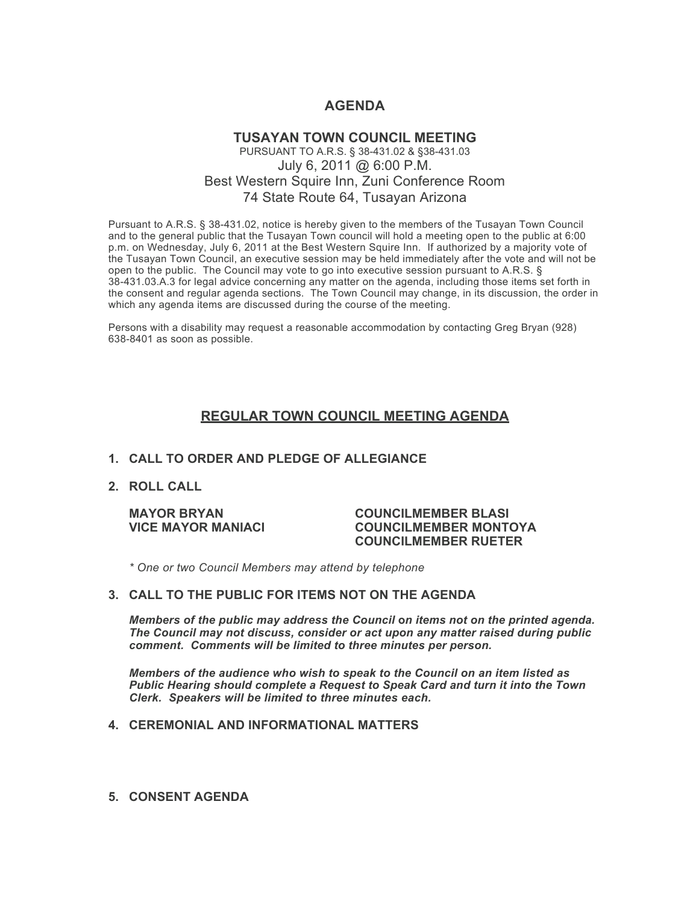# **AGENDA**

## **TUSAYAN TOWN COUNCIL MEETING** PURSUANT TO A.R.S. § 38-431.02 & §38-431.03 July 6, 2011 @ 6:00 P.M. Best Western Squire Inn, Zuni Conference Room 74 State Route 64, Tusayan Arizona

Pursuant to A.R.S. § 38-431.02, notice is hereby given to the members of the Tusayan Town Council and to the general public that the Tusayan Town council will hold a meeting open to the public at 6:00 p.m. on Wednesday, July 6, 2011 at the Best Western Squire Inn. If authorized by a majority vote of the Tusayan Town Council, an executive session may be held immediately after the vote and will not be open to the public. The Council may vote to go into executive session pursuant to A.R.S. § 38-431.03.A.3 for legal advice concerning any matter on the agenda, including those items set forth in the consent and regular agenda sections. The Town Council may change, in its discussion, the order in which any agenda items are discussed during the course of the meeting.

Persons with a disability may request a reasonable accommodation by contacting Greg Bryan (928) 638-8401 as soon as possible.

## **REGULAR TOWN COUNCIL MEETING AGENDA**

### **1. CALL TO ORDER AND PLEDGE OF ALLEGIANCE**

**2. ROLL CALL**

#### **MAYOR BRYAN COUNCILMEMBER BLASI VICE MAYOR MANIACI COUNCILMEMBER MONTOYA COUNCILMEMBER RUETER**

*\* One or two Council Members may attend by telephone*

#### **3. CALL TO THE PUBLIC FOR ITEMS NOT ON THE AGENDA**

*Members of the public may address the Council* **o***n items not on the printed agenda. The Council may not discuss, consider or act upon any matter raised during public comment. Comments will be limited to three minutes per person.*

*Members of the audience who wish to speak to the Council on an item listed as Public Hearing should complete a Request to Speak Card and turn it into the Town Clerk. Speakers will be limited to three minutes each.*

### **4. CEREMONIAL AND INFORMATIONAL MATTERS**

**5. CONSENT AGENDA**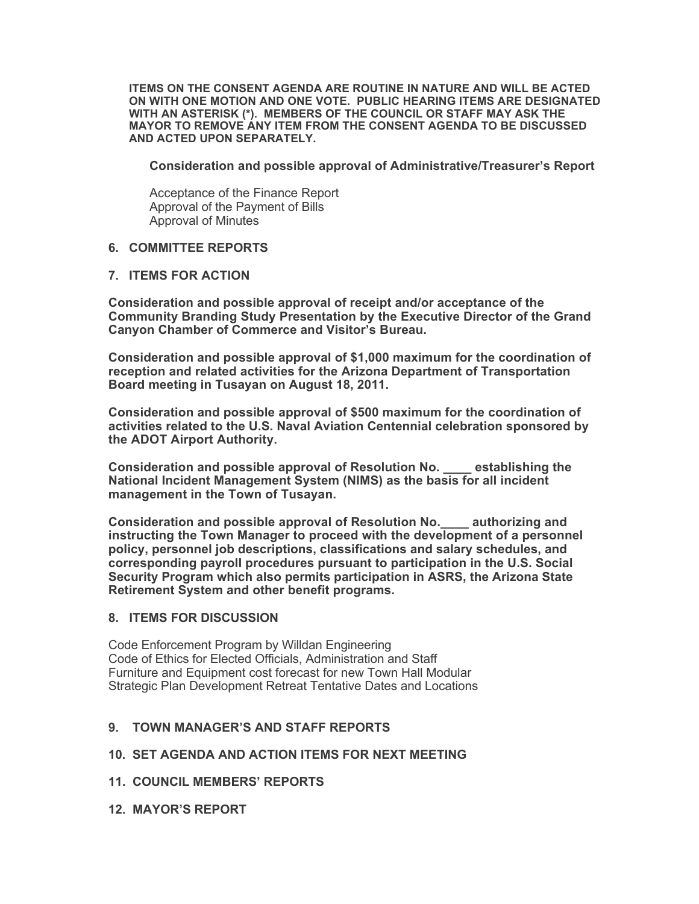**ITEMS ON THE CONSENT AGENDA ARE ROUTINE IN NATURE AND WILL BE ACTED ON WITH ONE MOTION AND ONE VOTE. PUBLIC HEARING ITEMS ARE DESIGNATED WITH AN ASTERISK (\*). MEMBERS OF THE COUNCIL OR STAFF MAY ASK THE MAYOR TO REMOVE ANY ITEM FROM THE CONSENT AGENDA TO BE DISCUSSED AND ACTED UPON SEPARATELY.**

**Consideration and possible approval of Administrative/Treasurer's Report**

Acceptance of the Finance Report Approval of the Payment of Bills Approval of Minutes

### **6. COMMITTEE REPORTS**

### **7. ITEMS FOR ACTION**

**Consideration and possible approval of receipt and/or acceptance of the Community Branding Study Presentation by the Executive Director of the Grand Canyon Chamber of Commerce and Visitor's Bureau.** 

**Consideration and possible approval of \$1,000 maximum for the coordination of reception and related activities for the Arizona Department of Transportation Board meeting in Tusayan on August 18, 2011.** 

**Consideration and possible approval of \$500 maximum for the coordination of activities related to the U.S. Naval Aviation Centennial celebration sponsored by the ADOT Airport Authority.**

**Consideration and possible approval of Resolution No. \_\_\_\_ establishing the National Incident Management System (NIMS) as the basis for all incident management in the Town of Tusayan.** 

**Consideration and possible approval of Resolution No.\_\_\_\_ authorizing and instructing the Town Manager to proceed with the development of a personnel policy, personnel job descriptions, classifications and salary schedules, and corresponding payroll procedures pursuant to participation in the U.S. Social Security Program which also permits participation in ASRS, the Arizona State Retirement System and other benefit programs.**

### **8. ITEMS FOR DISCUSSION**

Code Enforcement Program by Willdan Engineering Code of Ethics for Elected Officials, Administration and Staff Furniture and Equipment cost forecast for new Town Hall Modular Strategic Plan Development Retreat Tentative Dates and Locations

## **9. TOWN MANAGER'S AND STAFF REPORTS**

### **10. SET AGENDA AND ACTION ITEMS FOR NEXT MEETING**

- **11. COUNCIL MEMBERS' REPORTS**
- **12. MAYOR'S REPORT**